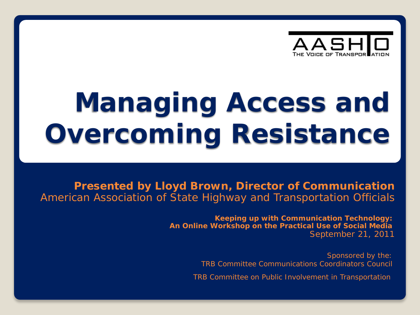

# **Managing Access and Overcoming Resistance**

**Presented by Lloyd Brown, Director of Communication** American Association of State Highway and Transportation Officials

> **Keeping up with Communication Technology:** *An Online Workshop on the Practical Use of Social Media* September 21, 2011

> > Sponsored by the: TRB Committee Communications Coordinators Council

TRB Committee on Public Involvement in Transportation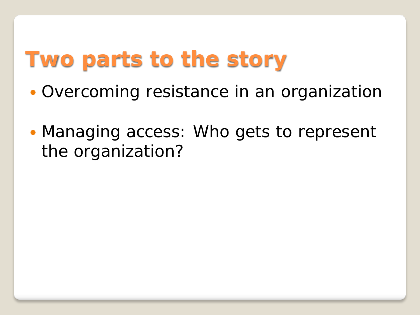## **Two parts to the story**

- Overcoming resistance in an organization
- Managing access: Who gets to represent the organization?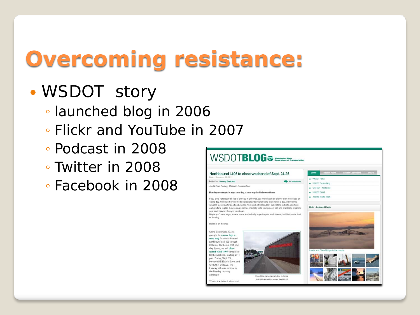## **Overcoming resistance:**

### WSDOT story

- launched blog in 2006
- Flickr and YouTube in 2007
- Podcast in 2008
- Twitter in 2008
- Facebook in 2008

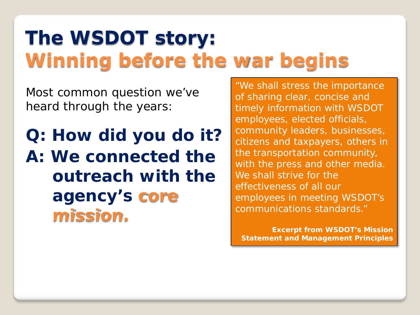### **The WSDOT story: Winning before the war begins**

Most common question we've heard through the years:

**Q: How did you do it? A: We connected the outreach with the agency's** *core mission.*

"We shall stress the importance of sharing *clear, concise* and *timely* information with WSDOT employees, elected officials, community leaders, businesses, citizens and taxpayers, others in the transportation community, with the press and other media. We shall strive for the effectiveness of all our employees in meeting WSDOT's communications standards."

**Excerpt from WSDOT's Mission Statement and Management Principles**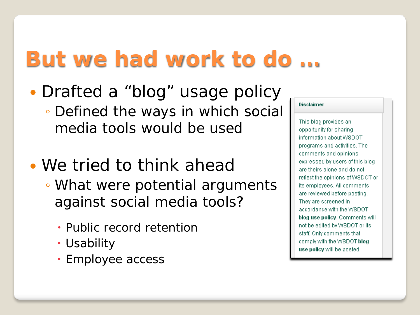## **But we had work to do …**

- Drafted a "blog" usage policy ◦ Defined the ways in which social media tools would be used
- We tried to think ahead ◦ What were potential arguments
	- against social media tools?
		- Public record retention
		- Usability
		- Employee access

| )isclaimer |  |  |  |
|------------|--|--|--|
|            |  |  |  |
|            |  |  |  |

This blog provides an opportunity for sharing information about WSDOT programs and activities. The comments and opinions expressed by users of this blog are theirs alone and do not reflect the opinions of WSDOT or its employees. All comments are reviewed before posting. They are screened in accordance with the WSDOT blog use policy. Comments will not be edited by WSDOT or its staff. Only comments that comply with the WSDOT blog use policy will be posted.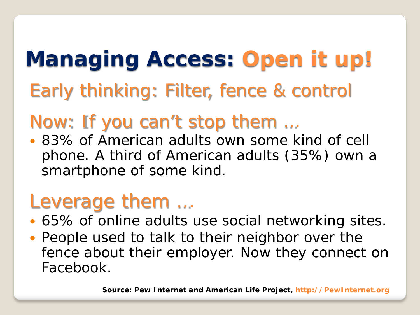## **Managing Access: Open it up!** Early thinking: Filter, fence & control

### Now: If you can't stop them …

 83% of American adults own some kind of cell phone. A third of American adults (35%) own a smartphone of some kind.

### Leverage them …

- 65% of online adults use social networking sites.
- People used to talk to their neighbor over the fence about their employer. Now they connect on Facebook.

**Source: Pew Internet and American Life Project, http://PewInternet.org**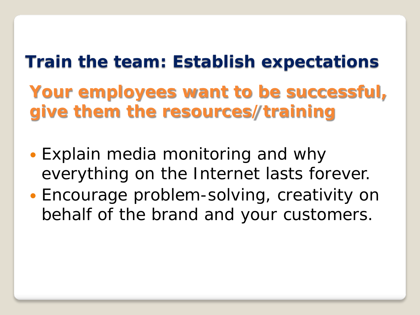## **Train the team: Establish expectations**

**Your employees want to be successful, give them the resources/training** 

- Explain media monitoring and why everything on the Internet lasts forever.
- Encourage problem-solving, creativity on behalf of the brand and your customers.